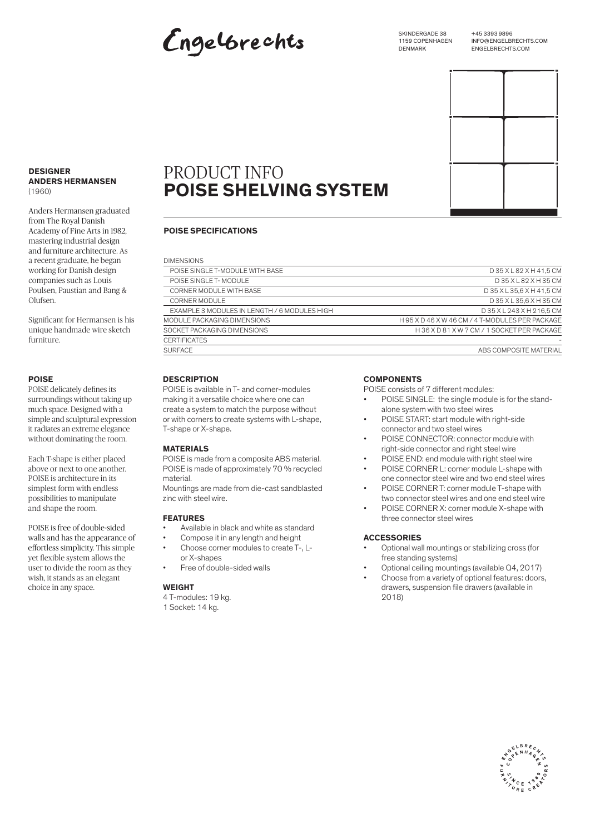# Engelbrechts

SKINDERGADE 38 1159 COPENHAGEN **DENMARK** 

+45 3393 9896 INFO@ENGELBRECHTS.COM ENGELBRECHTS.COM

#### **DESIGNER ANDERS HERMANSEN**  (1960)

Anders Hermansen graduated from The Royal Danish Academy of Fine Arts in 1982, mastering industrial design and furniture architecture. As a recent graduate, he began working for Danish design companies such as Louis Poulsen, Paustian and Bang & Olufsen.

Significant for Hermansen is his unique handmade wire sketch furniture.

### **POISE**

POISE delicately defines its surroundings without taking up much space. Designed with a simple and sculptural expression it radiates an extreme elegance without dominating the room.

Each T-shape is either placed above or next to one another. POISE is architecture in its simplest form with endless possibilities to manipulate and shape the room.

POISE is free of double-sided walls and has the appearance of effortless simplicity. This simple yet flexible system allows the user to divide the room as they wish, it stands as an elegant choice in any space.

# PRODUCT INFO **POISE SHELVING SYSTEM**

### **POISE SPECIFICATIONS**

| <b>DIMENSIONS</b>                            |                                              |
|----------------------------------------------|----------------------------------------------|
| POISE SINGLE T-MODULE WITH BASE              | D35XL82XH41,5CM                              |
| POISE SINGLE T-MODULE                        | D35XL82XH35CM                                |
| CORNER MODULE WITH BASE                      | D35XL35.6XH41.5CM                            |
| CORNER MODULE                                | D35XL35,6XH35CM                              |
| EXAMPLE 3 MODULES IN LENGTH / 6 MODULES HIGH | D35XL243XH216,5CM                            |
| MODULE PACKAGING DIMENSIONS                  | H95 X D46 X W46 CM / 4 T-MODULES PER PACKAGE |
| SOCKET PACKAGING DIMENSIONS                  | H36 X D 81 X W 7 CM / 1 SOCKET PER PACKAGE   |
| <b>CERTIFICATES</b>                          |                                              |
| <b>SURFACE</b>                               | ABS COMPOSITE MATERIAL                       |

#### **DESCRIPTION**

POISE is available in T- and corner-modules making it a versatile choice where one can create a system to match the purpose without or with corners to create systems with L-shape, T-shape or X-shape.

## **MATERIALS**

POISE is made from a composite ABS material. POISE is made of approximately 70 % recycled material.

Mountings are made from die-cast sandblasted zinc with steel wire.

### **FEATURES**

- Available in black and white as standard
- Compose it in any length and height
- Choose corner modules to create T-, L-
- or X-shapes • Free of double-sided walls

#### **WEIGHT**

- 4 T-modules: 19 kg.
- 1 Socket: 14 kg.

#### **COMPONENTS**

POISE consists of 7 different modules:

- POISE SINGLE: the single module is for the standalone system with two steel wires
- POISE START: start module with right-side connector and two steel wires
- POISE CONNECTOR: connector module with right-side connector and right steel wire
- POISE END: end module with right steel wire
- POISE CORNER L: corner module L-shape with one connector steel wire and two end steel wires
- POISE CORNER T: corner module T-shape with two connector steel wires and one end steel wire
- POISE CORNER X: corner module X-shape with three connector steel wires

### **ACCESSORIES**

- Optional wall mountings or stabilizing cross (for free standing systems)
- Optional ceiling mountings (available Q4, 2017)
- Choose from a variety of optional features: doors, drawers, suspension file drawers (available in 2018)



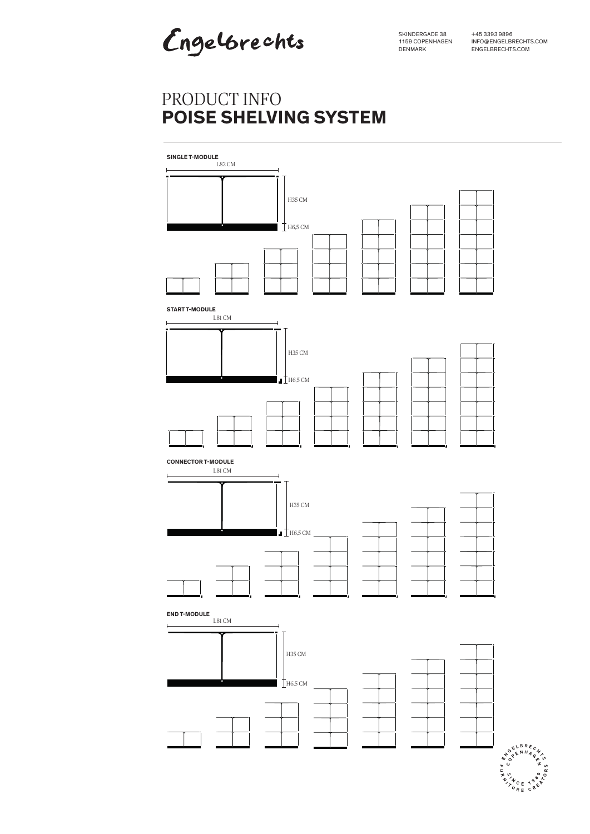Engelbrechts

SKINDERGADE 38 1159 COPENHAGEN DENMARK

+45 3393 9896 INFO@ENGELBRECHTS.COM ENGELBRECHTS.COM

# PRODUCT INFO **POISE SHELVING SYSTEM**